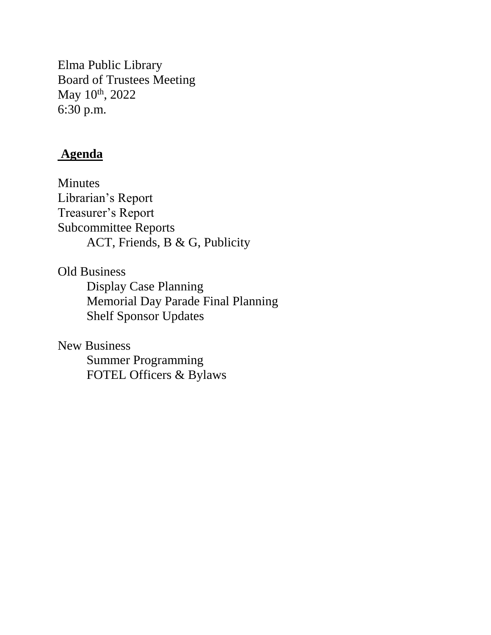Elma Public Library Board of Trustees Meeting May  $10^{th}$ , 2022 6:30 p.m.

# **Agenda**

Minutes Librarian's Report Treasurer's Report Subcommittee Reports ACT, Friends, B & G, Publicity

Old Business Display Case Planning Memorial Day Parade Final Planning Shelf Sponsor Updates

New Business Summer Programming FOTEL Officers & Bylaws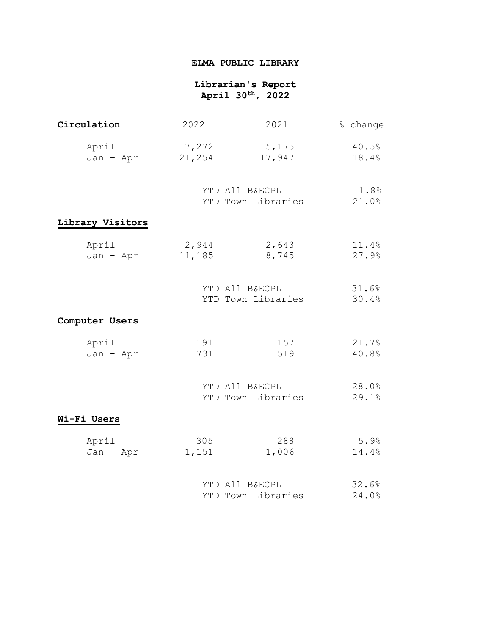## **ELMA PUBLIC LIBRARY**

## **Librarian's Report April 30th, 2022**

| Circulation        | 2022                                 | 2021                                 | % change       |  |
|--------------------|--------------------------------------|--------------------------------------|----------------|--|
| April<br>Jan - Apr | 7,272<br>21,254                      | 5,175<br>17,947                      | 40.5%<br>18.4% |  |
|                    | YTD All B&ECPL<br>YTD Town Libraries |                                      | 1.8%<br>21.0%  |  |
| Library Visitors   |                                      |                                      |                |  |
| April<br>Jan - Apr | 2,944<br>11,185                      | 2,643<br>8,745                       | 11.4%<br>27.9% |  |
|                    |                                      | YTD All B&ECPL<br>YTD Town Libraries | 31.6%<br>30.4% |  |
| Computer Users     |                                      |                                      |                |  |
| April<br>Jan - Apr | 191<br>731                           | 157<br>519                           | 21.7%<br>40.8% |  |
|                    |                                      | YTD All B&ECPL<br>YTD Town Libraries | 28.0%<br>29.1% |  |
| Wi-Fi Users        |                                      |                                      |                |  |
| April<br>Jan - Apr | 305<br>1,151                         | 288<br>1,006                         | 5.9%<br>14.4%  |  |
|                    |                                      | YTD All B&ECPL<br>YTD Town Libraries | 32.6%<br>24.0% |  |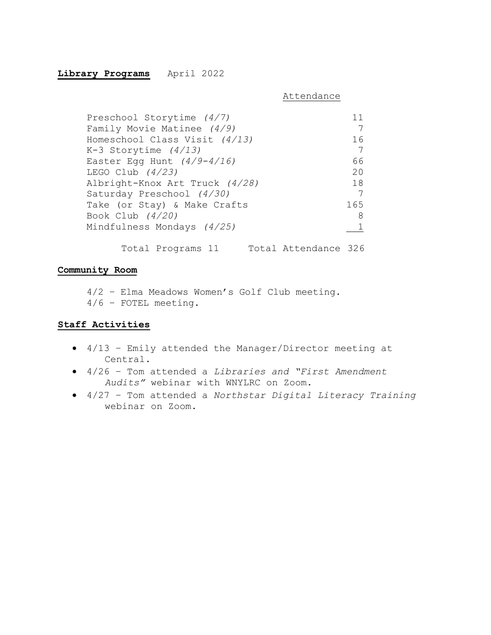#### **Library Programs** April 2022

Attendance

| Preschool Storytime (4/7)      | 11  |
|--------------------------------|-----|
| Family Movie Matinee $(4/9)$   |     |
| Homeschool Class Visit (4/13)  | 16  |
| K-3 Storytime (4/13)           | 7   |
| Easter Egg Hunt $(4/9-4/16)$   | 66  |
| LEGO Club $(4/23)$             | 20  |
| Albright-Knox Art Truck (4/28) | 18  |
| Saturday Preschool (4/30)      | - 7 |
| Take (or Stay) & Make Crafts   | 165 |
| Book Club (4/20)               | 8   |
| Mindfulness Mondays (4/25)     |     |
|                                |     |

Total Programs 11 Total Attendance 326

## **Community Room**

4/2 – Elma Meadows Women's Golf Club meeting. 4/6 – FOTEL meeting.

#### **Staff Activities**

- 4/13 Emily attended the Manager/Director meeting at Central.
- 4/26 Tom attended a *Libraries and "First Amendment Audits"* webinar with WNYLRC on Zoom.
- 4/27 Tom attended a *Northstar Digital Literacy Training* webinar on Zoom.